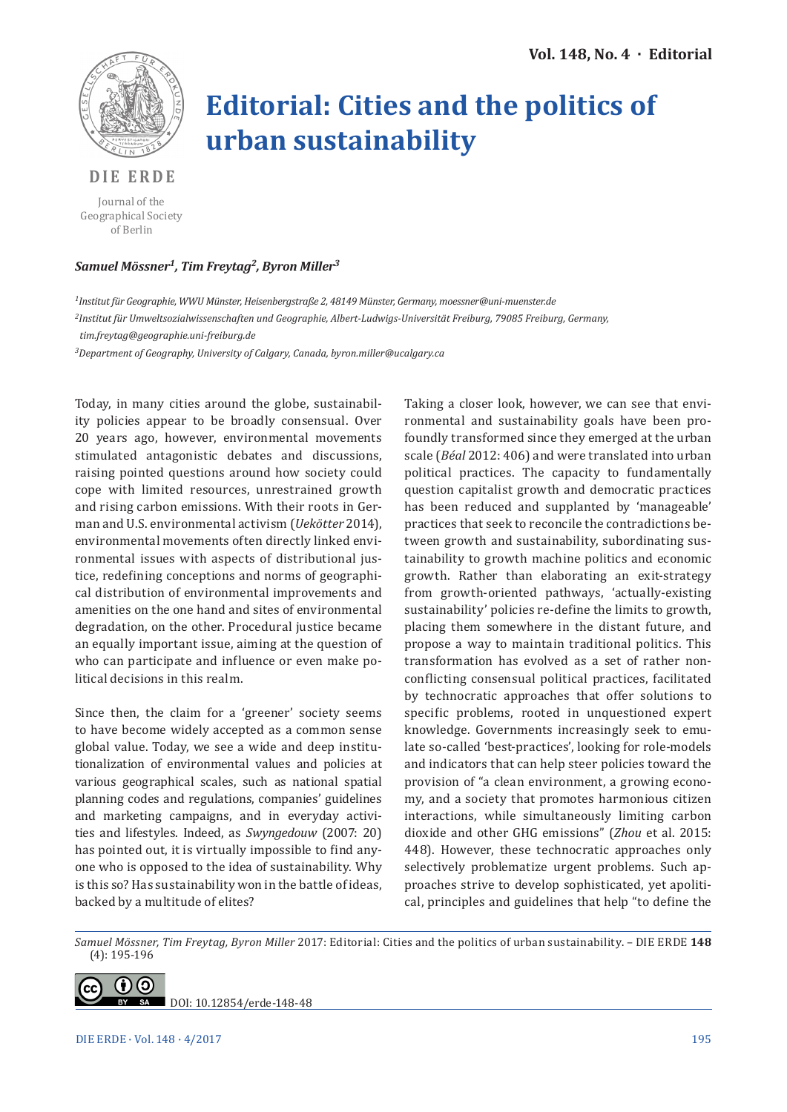

## **Editorial: Cities and the politics of urban sustainability**

## **DIE ERDE**

Journal of the Geographical Society of Berlin

## *Samuel Mössner1, Tim Freytag2, Byron Miller3*

*1Institut für Geographie, WWU Münster, Heisenbergstraße 2, 48149 Münster, Germany, moessner@uni-muenster.de 2Institut für Umweltsozialwissenschaften und Geographie, Albert-Ludwigs-Universität Freiburg, 79085 Freiburg, Germany, tim.freytag@geographie.uni-freiburg.de*

*3Department of Geography, University of Calgary, Canada, byron.miller@ucalgary.ca*

Today, in many cities around the globe, sustainability policies appear to be broadly consensual. Over 20 years ago, however, environmental movements stimulated antagonistic debates and discussions, raising pointed questions around how society could cope with limited resources, unrestrained growth and rising carbon emissions. With their roots in German and U.S. environmental activism (*Uekötter* 2014), environmental movements often directly linked environmental issues with aspects of distributional justice, redefining conceptions and norms of geographical distribution of environmental improvements and amenities on the one hand and sites of environmental degradation, on the other. Procedural justice became an equally important issue, aiming at the question of who can participate and influence or even make political decisions in this realm.

Since then, the claim for a 'greener' society seems to have become widely accepted as a common sense global value. Today, we see a wide and deep institutionalization of environmental values and policies at various geographical scales, such as national spatial planning codes and regulations, companies' guidelines and marketing campaigns, and in everyday activities and lifestyles. Indeed, as *Swyngedouw* (2007: 20) has pointed out, it is virtually impossible to find anyone who is opposed to the idea of sustainability. Why is this so? Has sustainability won in the battle of ideas, backed by a multitude of elites?

Taking a closer look, however, we can see that environmental and sustainability goals have been profoundly transformed since they emerged at the urban scale (*Béal* 2012: 406) and were translated into urban political practices. The capacity to fundamentally question capitalist growth and democratic practices has been reduced and supplanted by 'manageable' practices that seek to reconcile the contradictions between growth and sustainability, subordinating sustainability to growth machine politics and economic growth. Rather than elaborating an exit-strategy from growth-oriented pathways, 'actually-existing sustainability' policies re-define the limits to growth, placing them somewhere in the distant future, and propose a way to maintain traditional politics. This transformation has evolved as a set of rather nonconflicting consensual political practices, facilitated by technocratic approaches that offer solutions to specific problems, rooted in unquestioned expert knowledge. Governments increasingly seek to emulate so-called 'best-practices', looking for role-models and indicators that can help steer policies toward the provision of "a clean environment, a growing economy, and a society that promotes harmonious citizen interactions, while simultaneously limiting carbon dioxide and other GHG emissions" (*Zhou* et al. 2015: 448). However, these technocratic approaches only selectively problematize urgent problems. Such approaches strive to develop sophisticated, yet apolitical, principles and guidelines that help "to define the

*Samuel Mössner, Tim Freytag, Byron Miller* 2017: Editorial: Cities and the politics of urban sustainability. – DIE ERDE **148** (4): 195-196



BY SA DOI: 10.12854/erde-148-48